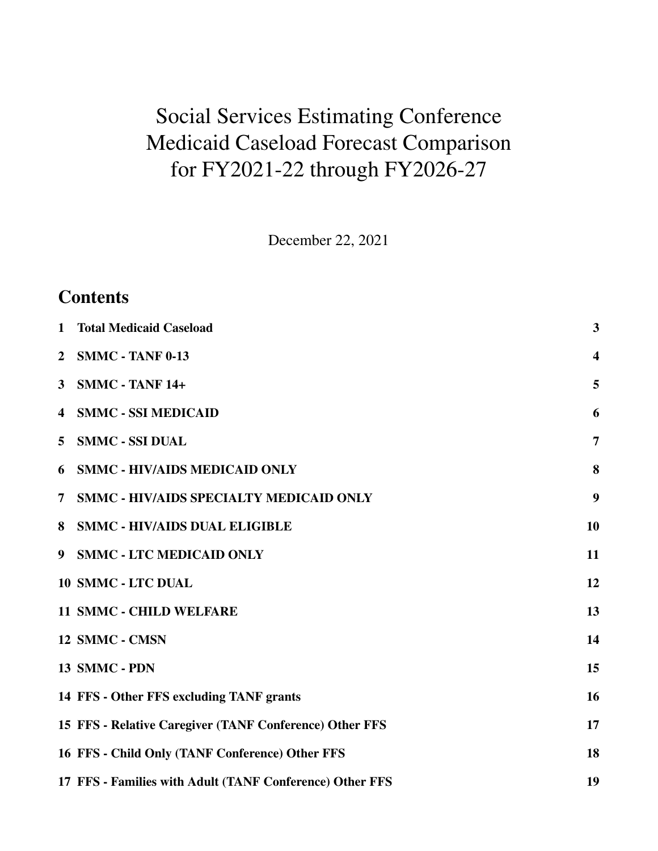# Social Services Estimating Conference Medicaid Caseload Forecast Comparison for FY2021-22 through FY2026-27

December 22, 2021

| $\mathbf{1}$   | <b>Total Medicaid Caseload</b>                           | $\overline{\mathbf{3}}$ |
|----------------|----------------------------------------------------------|-------------------------|
| $\overline{2}$ | <b>SMMC - TANF 0-13</b>                                  | $\overline{\mathbf{4}}$ |
| $\mathbf{3}$   | <b>SMMC - TANF 14+</b>                                   | 5                       |
| 4              | <b>SMMC - SSI MEDICAID</b>                               | 6                       |
| 5              | <b>SMMC - SSI DUAL</b>                                   | $\overline{7}$          |
| 6              | <b>SMMC - HIV/AIDS MEDICAID ONLY</b>                     | 8                       |
| 7              | <b>SMMC - HIV/AIDS SPECIALTY MEDICAID ONLY</b>           | 9                       |
| 8              | <b>SMMC - HIV/AIDS DUAL ELIGIBLE</b>                     | 10                      |
| 9              | <b>SMMC - LTC MEDICAID ONLY</b>                          | 11                      |
|                | <b>10 SMMC - LTC DUAL</b>                                | 12                      |
|                | <b>11 SMMC - CHILD WELFARE</b>                           | 13                      |
|                | 12 SMMC - CMSN                                           | 14                      |
|                | 13 SMMC - PDN                                            | 15                      |
|                | 14 FFS - Other FFS excluding TANF grants                 | 16                      |
|                | 15 FFS - Relative Caregiver (TANF Conference) Other FFS  | 17                      |
|                | 16 FFS - Child Only (TANF Conference) Other FFS          | 18                      |
|                | 17 FFS - Families with Adult (TANF Conference) Other FFS | 19                      |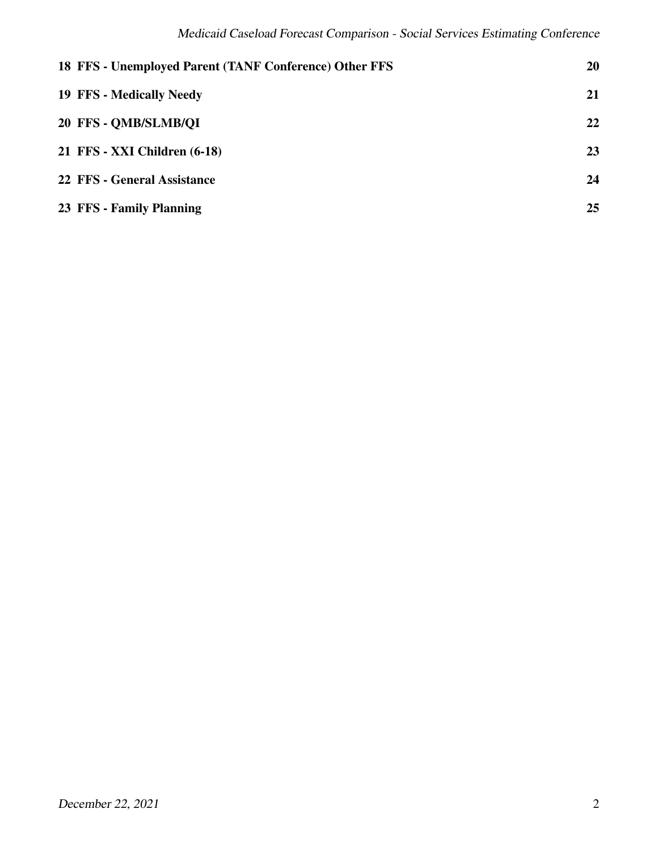| 18 FFS - Unemployed Parent (TANF Conference) Other FFS | <b>20</b> |
|--------------------------------------------------------|-----------|
| <b>19 FFS - Medically Needy</b>                        | 21        |
| 20 FFS - OMB/SLMB/OI                                   | 22        |
| 21 FFS - XXI Children (6-18)                           | 23        |
| 22 FFS - General Assistance                            | 24        |
| 23 FFS - Family Planning                               | 25        |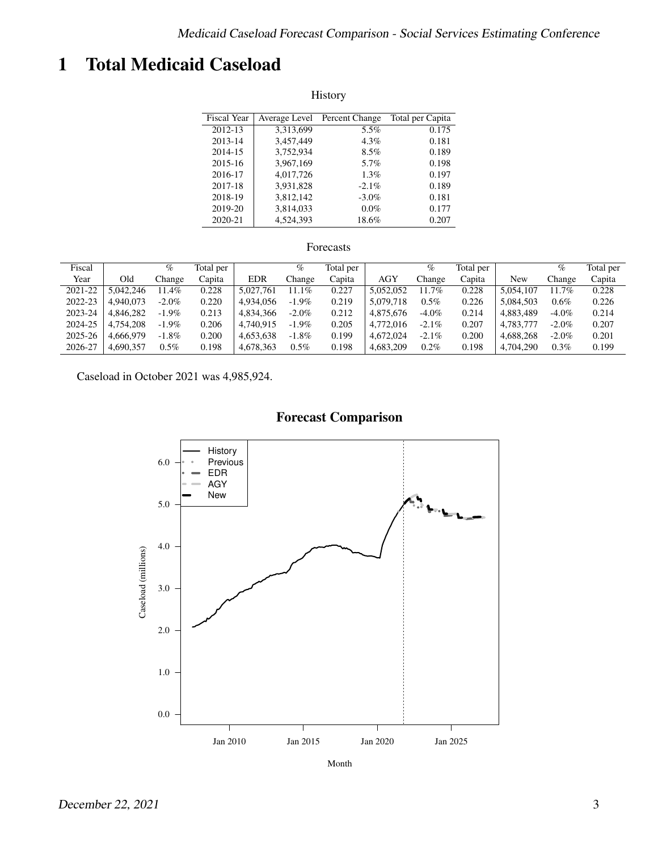# <span id="page-2-0"></span>1 Total Medicaid Caseload

| History            |               |                |                  |  |  |  |  |  |  |
|--------------------|---------------|----------------|------------------|--|--|--|--|--|--|
| <b>Fiscal Year</b> | Average Level | Percent Change | Total per Capita |  |  |  |  |  |  |
| 2012-13            | 3,313,699     | 5.5%           | 0.175            |  |  |  |  |  |  |
| 2013-14            | 3,457,449     | 4.3%           | 0.181            |  |  |  |  |  |  |
| 2014-15            | 3,752,934     | 8.5%           | 0.189            |  |  |  |  |  |  |
| 2015-16            | 3.967.169     | 5.7%           | 0.198            |  |  |  |  |  |  |
| 2016-17            | 4,017,726     | $1.3\%$        | 0.197            |  |  |  |  |  |  |
| 2017-18            | 3,931,828     | $-2.1\%$       | 0.189            |  |  |  |  |  |  |
| 2018-19            | 3,812,142     | $-3.0\%$       | 0.181            |  |  |  |  |  |  |
| 2019-20            | 3,814,033     | $0.0\%$        | 0.177            |  |  |  |  |  |  |
| 2020-21            | 4.524.393     | 18.6%          | 0.207            |  |  |  |  |  |  |

#### Forecasts

| Fiscal  |           | $\%$     | Total per |            | $\%$     | Total per |           | %        | Total per |           | %        | Total per |
|---------|-----------|----------|-----------|------------|----------|-----------|-----------|----------|-----------|-----------|----------|-----------|
| Year    | Old       | Change   | Capita    | <b>EDR</b> | Change   | Capita    | AGY       | Change   | Capita    | New       | Change   | Capita    |
| 2021-22 | 5.042.246 | $1.4\%$  | 0.228     | 5.027.761  | 11.1%    | 0.227     | 5.052.052 | 11.7%    | 0.228     | 5.054.107 | 11.7%    | 0.228     |
| 2022-23 | 4.940.073 | $-2.0\%$ | 0.220     | 4.934.056  | $-1.9\%$ | 0.219     | 5.079.718 | $0.5\%$  | 0.226     | 5.084.503 | 0.6%     | 0.226     |
| 2023-24 | 4,846,282 | $-1.9\%$ | 0.213     | 4,834,366  | $-2.0\%$ | 0.212     | 4,875,676 | $-4.0\%$ | 0.214     | 4.883.489 | $-4.0\%$ | 0.214     |
| 2024-25 | 4.754.208 | $-1.9\%$ | 0.206     | 4,740,915  | $-1.9\%$ | 0.205     | 4,772,016 | $-2.1\%$ | 0.207     | 4.783.777 | $-2.0\%$ | 0.207     |
| 2025-26 | 4.666.979 | $-1.8\%$ | 0.200     | 4.653.638  | $-1.8\%$ | 0.199     | 4.672.024 | $-2.1\%$ | 0.200     | 4.688.268 | $-2.0\%$ | 0.201     |
| 2026-27 | 4.690.357 | $0.5\%$  | 0.198     | 4.678.363  | $0.5\%$  | 0.198     | 4.683.209 | $0.2\%$  | 0.198     | 4.704.290 | $0.3\%$  | 0.199     |

Caseload in October 2021 was 4,985,924.



Month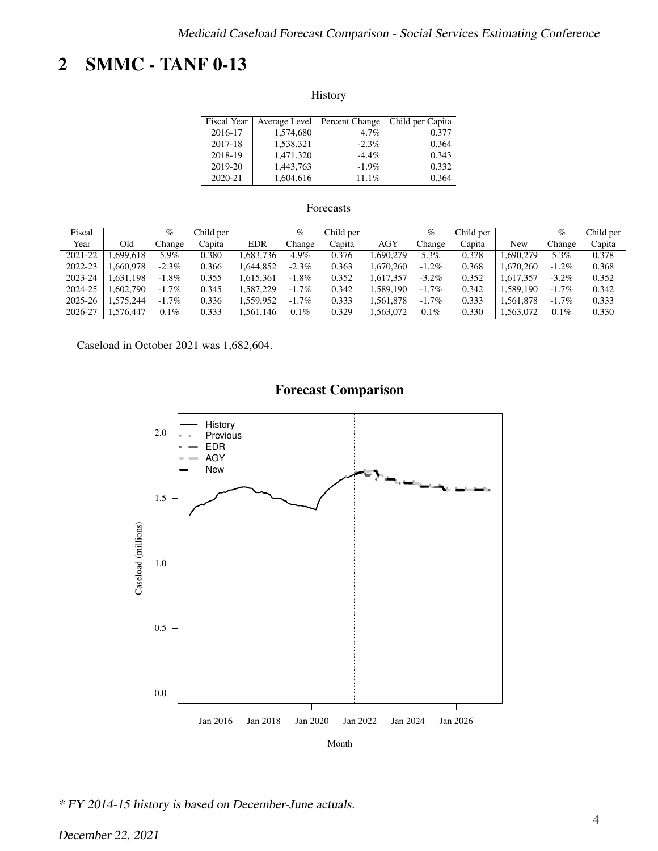# <span id="page-3-0"></span>2 SMMC - TANF 0-13

History

| <b>Fiscal Year</b> |           | Average Level Percent Change | Child per Capita |
|--------------------|-----------|------------------------------|------------------|
| 2016-17            | 1,574,680 | $4.7\%$                      | 0.377            |
| 2017-18            | 1,538,321 | $-2.3\%$                     | 0.364            |
| 2018-19            | 1.471.320 | $-4.4\%$                     | 0.343            |
| 2019-20            | 1.443.763 | $-1.9\%$                     | 0.332            |
| 2020-21            | 1,604,616 | 11.1%                        | 0.364            |

#### Forecasts

| Fiscal  |          | $\%$     | Child per |            | $\%$     | Child per |            | $\%$     | Child per |           | $\%$     | Child per |
|---------|----------|----------|-----------|------------|----------|-----------|------------|----------|-----------|-----------|----------|-----------|
| Year    | Old      | Change   | Capita    | <b>EDR</b> | Change   | Capita    | <b>AGY</b> | Change   | Capita    | New       | Change   | Capita    |
| 2021-22 | .699.618 | 5.9%     | 0.380     | .683.736   | 4.9%     | 0.376     | .690.279   | 5.3%     | 0.378     | 1.690.279 | 5.3%     | 0.378     |
| 2022-23 | .660.978 | $-2.3\%$ | 0.366     | .644.852   | $-2.3\%$ | 0.363     | 1.670.260  | $-1.2\%$ | 0.368     | .670.260  | $-1.2\%$ | 0.368     |
| 2023-24 | .631.198 | $-1.8\%$ | 0.355     | .615.361   | $-1.8\%$ | 0.352     | 1,617,357  | $-3.2\%$ | 0.352     | .617.357  | $-3.2\%$ | 0.352     |
| 2024-25 | .602.790 | $-1.7\%$ | 0.345     | .587.229   | $-1.7\%$ | 0.342     | .589.190   | $-1.7%$  | 0.342     | .589.190  | $-1.7\%$ | 0.342     |
| 2025-26 | .575.244 | $-1.7\%$ | 0.336     | 1.559.952  | $-1.7\%$ | 0.333     | .561.878   | $-1.7\%$ | 0.333     | .561.878  | $-1.7\%$ | 0.333     |
| 2026-27 | .576,447 | $0.1\%$  | 0.333     | .561.146   | $0.1\%$  | 0.329     | .563,072   | $0.1\%$  | 0.330     | .563,072  | 0.1%     | 0.330     |

Caseload in October 2021 was 1,682,604.



\* FY 2014-15 history is based on December-June actuals.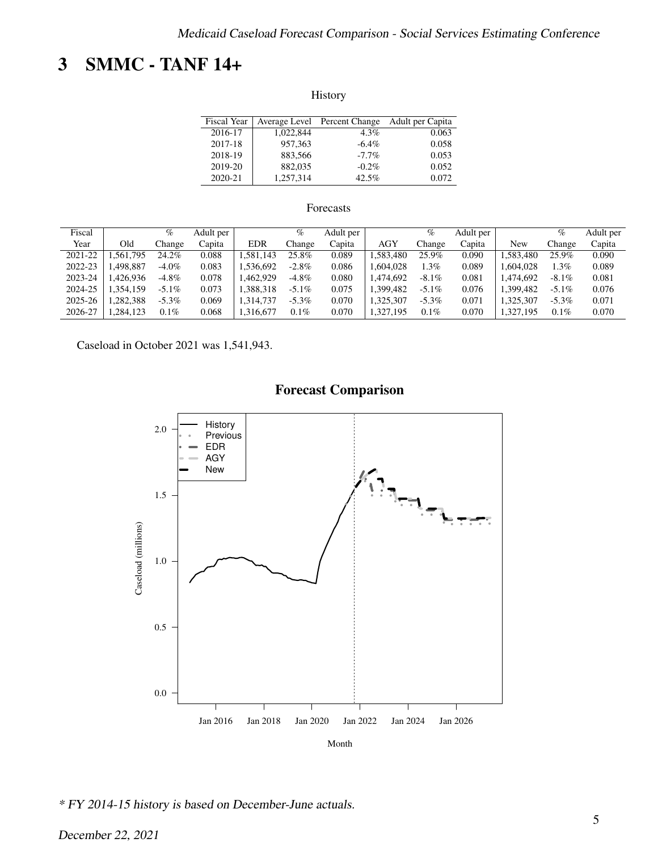# <span id="page-4-0"></span>3 SMMC - TANF 14+

History

| <b>Fiscal Year</b> |           | Average Level Percent Change | Adult per Capita |
|--------------------|-----------|------------------------------|------------------|
| 2016-17            | 1,022,844 | $4.3\%$                      | 0.063            |
| 2017-18            | 957.363   | $-6.4\%$                     | 0.058            |
| 2018-19            | 883.566   | $-7.7\%$                     | 0.053            |
| 2019-20            | 882,035   | $-0.2\%$                     | 0.052            |
| 2020-21            | 1,257,314 | 42.5%                        | 0.072            |

#### Forecasts

| Fiscal  |          | $\%$     | Adult per |            | %        | Adult per |            | %        | Adult per |          | %        | Adult per |
|---------|----------|----------|-----------|------------|----------|-----------|------------|----------|-----------|----------|----------|-----------|
| Year    | Old      | .hange   | Capita    | <b>EDR</b> | Change   | Capita    | <b>AGY</b> | Change   | Capita    | New      | Change   | Capita    |
| 2021-22 | .561,795 | 24.2%    | 0.088     | .581.143   | 25.8%    | 0.089     | .583.480   | 25.9%    | 0.090     | .583.480 | 25.9%    | 0.090     |
| 2022-23 | .498,887 | $-4.0\%$ | 0.083     | 1.536.692  | $-2.8\%$ | 0.086     | .604.028   | $.3\%$   | 0.089     | .604.028 | 1.3%     | 0.089     |
| 2023-24 | .426.936 | $-4.8\%$ | 0.078     | .462.929   | $-4.8\%$ | 0.080     | .474.692   | $-8.1\%$ | 0.081     | .474.692 | $-8.1\%$ | 0.081     |
| 2024-25 | .354.159 | $-5.1\%$ | 0.073     | .388.318   | $-5.1\%$ | 0.075     | .399.482   | $-5.1\%$ | 0.076     | .399.482 | $-5.1\%$ | 0.076     |
| 2025-26 | .282.388 | $-5.3\%$ | 0.069     | 1.314.737  | $-5.3\%$ | 0.070     | ,325,307   | $-5.3\%$ | 0.071     | .325.307 | $-5.3\%$ | 0.071     |
| 2026-27 | .284.123 | $0.1\%$  | 0.068     | 1.316.677  | $0.1\%$  | 0.070     | ,327,195   | $0.1\%$  | 0.070     | 327,195  | 0.1%     | 0.070     |

Caseload in October 2021 was 1,541,943.



\* FY 2014-15 history is based on December-June actuals.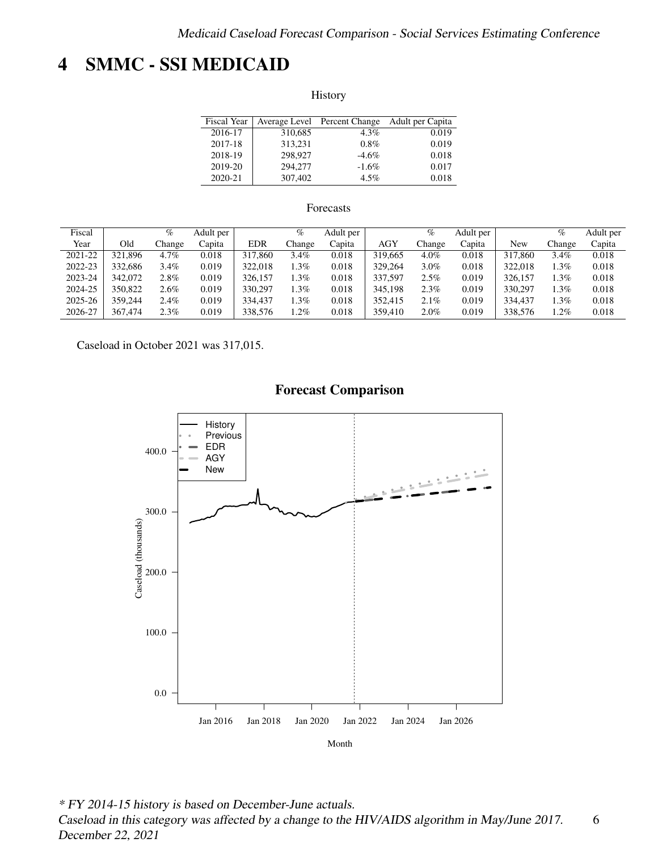# <span id="page-5-0"></span>4 SMMC - SSI MEDICAID

History

| Fiscal Year |         | Average Level Percent Change | Adult per Capita |
|-------------|---------|------------------------------|------------------|
| 2016-17     | 310,685 | $4.3\%$                      | 0.019            |
| 2017-18     | 313.231 | $0.8\%$                      | 0.019            |
| 2018-19     | 298,927 | $-4.6\%$                     | 0.018            |
| 2019-20     | 294,277 | $-1.6\%$                     | 0.017            |
| 2020-21     | 307.402 | 4.5%                         | 0.018            |

### Forecasts

| Fiscal  |         | %       | Adult per |            | %       | Adult per |            | %       | Adult per |         | %       | Adult per |
|---------|---------|---------|-----------|------------|---------|-----------|------------|---------|-----------|---------|---------|-----------|
| Year    | Old     | . hange | Capita    | <b>EDR</b> | Change  | Capita    | <b>AGY</b> | Change  | Capita    | New     | Change  | Capita    |
| 2021-22 | 321.896 | 4.7%    | 0.018     | 317,860    | 3.4%    | 0.018     | 319,665    | $4.0\%$ | 0.018     | 317,860 | $3.4\%$ | 0.018     |
| 2022-23 | 332,686 | 3.4%    | 0.019     | 322.018    | $1.3\%$ | 0.018     | 329.264    | $3.0\%$ | 0.018     | 322,018 | $.3\%$  | 0.018     |
| 2023-24 | 342,072 | 2.8%    | 0.019     | 326,157    | $.3\%$  | 0.018     | 337.597    | 2.5%    | 0.019     | 326,157 | . 3%    | 0.018     |
| 2024-25 | 350,822 | 2.6%    | 0.019     | 330,297    | $.3\%$  | 0.018     | 345.198    | 2.3%    | 0.019     | 330,297 | .3%     | 0.018     |
| 2025-26 | 359.244 | 2.4%    | 0.019     | 334,437    | $.3\%$  | 0.018     | 352.415    | 2.1%    | 0.019     | 334,437 | .3%     | 0.018     |
| 2026-27 | 367,474 | 2.3%    | 0.019     | 338,576    | $.2\%$  | 0.018     | 359.410    | $2.0\%$ | 0.019     | 338,576 | . 2%    | 0.018     |

Caseload in October 2021 was 317,015.



\* FY 2014-15 history is based on December-June actuals. Caseload in this category was affected by a change to the HIV/AIDS algorithm in May/June 2017. December 22, 2021 6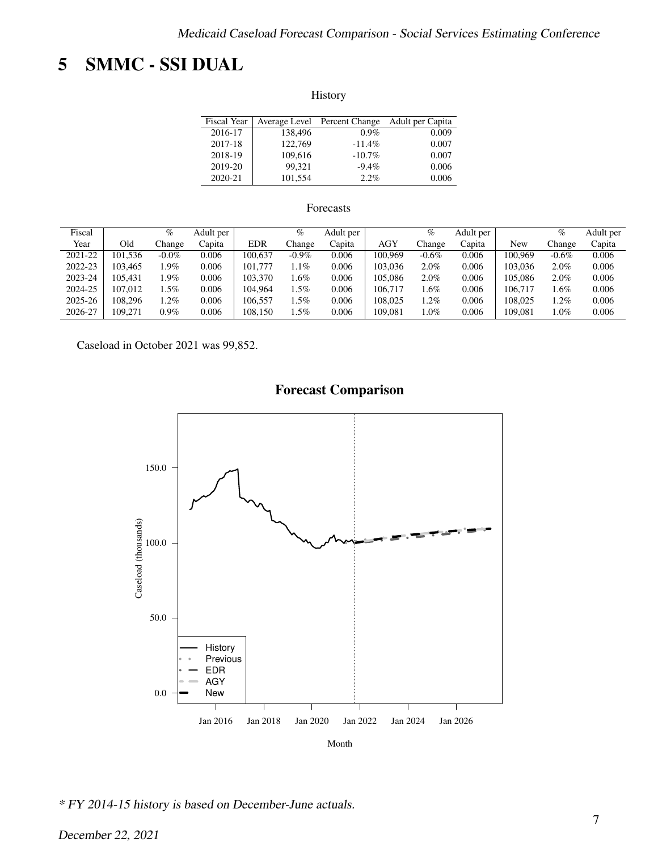# <span id="page-6-0"></span>5 SMMC - SSI DUAL

History

| <b>Fiscal Year</b> |         | Average Level Percent Change | Adult per Capita |
|--------------------|---------|------------------------------|------------------|
| 2016-17            | 138,496 | $0.9\%$                      | 0.009            |
| 2017-18            | 122,769 | $-11.4%$                     | 0.007            |
| 2018-19            | 109.616 | $-10.7\%$                    | 0.007            |
| 2019-20            | 99.321  | $-9.4\%$                     | 0.006            |
| 2020-21            | 101,554 | 2.2%                         | 0.006            |

### Forecasts

| Fiscal  |         | %        | Adult per |            | %        | Adult per |            | $\%$     | Adult per |         | %        | Adult per |
|---------|---------|----------|-----------|------------|----------|-----------|------------|----------|-----------|---------|----------|-----------|
| Year    | Old     | hange.   | Capita    | <b>EDR</b> | Change   | Capita    | <b>AGY</b> | Change   | Capita    | New     | Change   | Capita    |
| 2021-22 | 101.536 | $-0.0\%$ | 0.006     | 100.637    | $-0.9\%$ | 0.006     | 100.969    | $-0.6\%$ | 0.006     | 100.969 | $-0.6\%$ | 0.006     |
| 2022-23 | 103.465 | $.9\%$   | 0.006     | 101.777    | $1.1\%$  | 0.006     | 103.036    | 2.0%     | 0.006     | 103,036 | 2.0%     | 0.006     |
| 2023-24 | 105.431 | .9%      | 0.006     | 103.370    | l.6%     | 0.006     | 105.086    | $2.0\%$  | 0.006     | 105.086 | 2.0%     | 0.006     |
| 2024-25 | 107.012 | $.5\%$   | 0.006     | 104.964    | .5%      | 0.006     | 106.717    | .6%      | 0.006     | 106.717 | . 6%     | 0.006     |
| 2025-26 | 108.296 | $.2\%$   | 0.006     | 106.557    | $.5\%$   | 0.006     | 108.025    | $.2\%$   | 0.006     | 108.025 | .2%      | 0.006     |
| 2026-27 | 109.271 | $0.9\%$  | 0.006     | 108.150    | $.5\%$   | 0.006     | 109.081    | $.0\%$   | 0.006     | 109.081 | $.0\%$   | 0.006     |

Caseload in October 2021 was 99,852.



\* FY 2014-15 history is based on December-June actuals.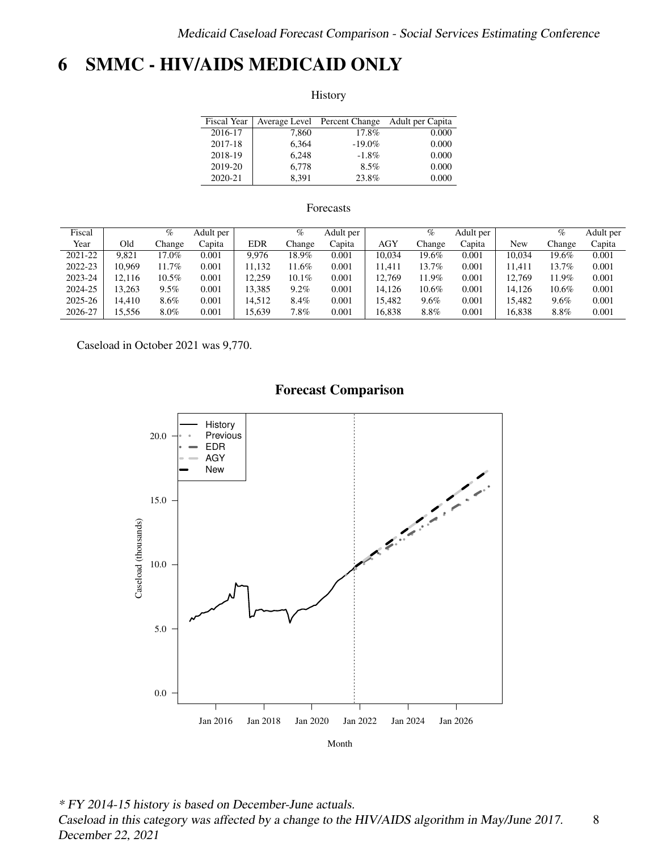# <span id="page-7-0"></span>6 SMMC - HIV/AIDS MEDICAID ONLY

History

| <b>Fiscal Year</b> |       | Average Level Percent Change | Adult per Capita |
|--------------------|-------|------------------------------|------------------|
| 2016-17            | 7.860 | 17.8%                        | 0.000            |
| 2017-18            | 6.364 | $-19.0%$                     | 0.000            |
| 2018-19            | 6.248 | $-1.8\%$                     | 0.000            |
| 2019-20            | 6.778 | $8.5\%$                      | 0.000            |
| 2020-21            | 8.391 | 23.8%                        | 0.000            |

### Forecasts

| Fiscal  |        | $\%$    | Adult per |            | $\%$     | Adult per |            | %        | Adult per |        | $\%$   | Adult per |
|---------|--------|---------|-----------|------------|----------|-----------|------------|----------|-----------|--------|--------|-----------|
| Year    | Old    | Change  | Capita    | <b>EDR</b> | Change   | Capita    | <b>AGY</b> | Change   | Capita    | New    | Change | Capita    |
| 2021-22 | 9.821  | 17.0%   | 0.001     | 9.976      | 18.9%    | 0.001     | 10,034     | 19.6%    | 0.001     | 10.034 | 19.6%  | 0.001     |
| 2022-23 | 10.969 | 11.7%   | 0.001     | 11.132     | 1.6%     | 0.001     | 11.411     | 13.7%    | 0.001     | 11.411 | 13.7%  | 0.001     |
| 2023-24 | 2.116  | 10.5%   | 0.001     | 12.259     | $10.1\%$ | 0.001     | 12.769     | 11.9%    | 0.001     | 12.769 | 11.9%  | 0.001     |
| 2024-25 | 3.263  | 9.5%    | 0.001     | 13.385     | 9.2%     | 0.001     | 14,126     | $10.6\%$ | 0.001     | 14.126 | 10.6%  | 0.001     |
| 2025-26 | 14.410 | 8.6%    | $0.001\,$ | 14.512     | 8.4%     | 0.001     | 15.482     | $9.6\%$  | 0.001     | 15.482 | 9.6%   | 0.001     |
| 2026-27 | 15.556 | $8.0\%$ | 0.001     | 15.639     | $7.8\%$  | 0.001     | 16.838     | $8.8\%$  | 0.001     | 16.838 | 8.8%   | 0.001     |

Caseload in October 2021 was 9,770.



\* FY 2014-15 history is based on December-June actuals. Caseload in this category was affected by a change to the HIV/AIDS algorithm in May/June 2017. December 22, 2021 8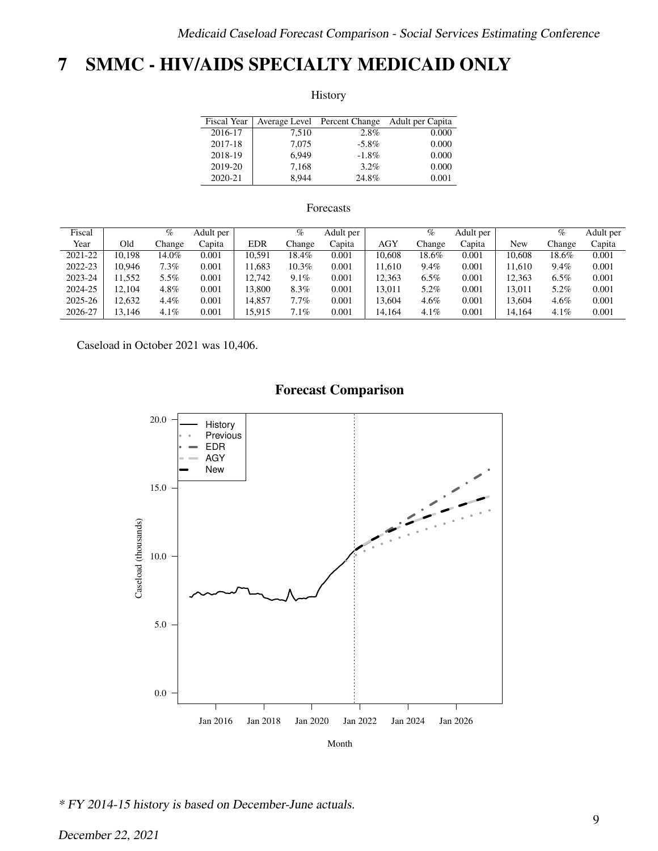# <span id="page-8-0"></span>7 SMMC - HIV/AIDS SPECIALTY MEDICAID ONLY

History

| Fiscal Year |       | Average Level Percent Change | Adult per Capita |
|-------------|-------|------------------------------|------------------|
| 2016-17     | 7.510 | 2.8%                         | 0.000            |
| 2017-18     | 7.075 | $-5.8\%$                     | 0.000            |
| 2018-19     | 6.949 | $-1.8\%$                     | 0.000            |
| 2019-20     | 7.168 | $3.2\%$                      | 0.000            |
| 2020-21     | 8.944 | 24.8%                        | 0.001            |

### Forecasts

| Fiscal  |        | %       | Adult per |            | %       | Adult per |            | $\%$    | Adult per |        | %       | Adult per |
|---------|--------|---------|-----------|------------|---------|-----------|------------|---------|-----------|--------|---------|-----------|
| Year    | Old    | hange.  | Capita    | <b>EDR</b> | Change  | Capita    | <b>AGY</b> | Change  | Capita    | New    | Change  | Capita    |
| 2021-22 | 10.198 | 14.0%   | 0.001     | 10.591     | 18.4%   | 0.001     | 10.608     | 18.6%   | 0.001     | 10.608 | 18.6%   | 0.001     |
| 2022-23 | 10.946 | $7.3\%$ | 0.001     | 1.683      | 10.3%   | 0.001     | 11.610     | 9.4%    | 0.001     | 11.610 | 9.4%    | 0.001     |
| 2023-24 | 1.552  | 5.5%    | 0.001     | 12.742     | $9.1\%$ | 0.001     | 12,363     | $6.5\%$ | 0.001     | 12.363 | $6.5\%$ | 0.001     |
| 2024-25 | 12.104 | $4.8\%$ | 0.001     | 13.800     | 8.3%    | 0.001     | 13.011     | 5.2%    | 0.001     | 13.011 | 5.2%    | 0.001     |
| 2025-26 | 12.632 | 4.4%    | 0.001     | 14.857     | $7.7\%$ | 0.001     | 13,604     | $4.6\%$ | 0.001     | 13.604 | $4.6\%$ | 0.001     |
| 2026-27 | 13.146 | $4.1\%$ | 0.001     | 15.915     | 7.1%    | 0.001     | 14,164     | $4.1\%$ | 0.001     | 14.164 | $4.1\%$ | 0.001     |

Caseload in October 2021 was 10,406.



\* FY 2014-15 history is based on December-June actuals.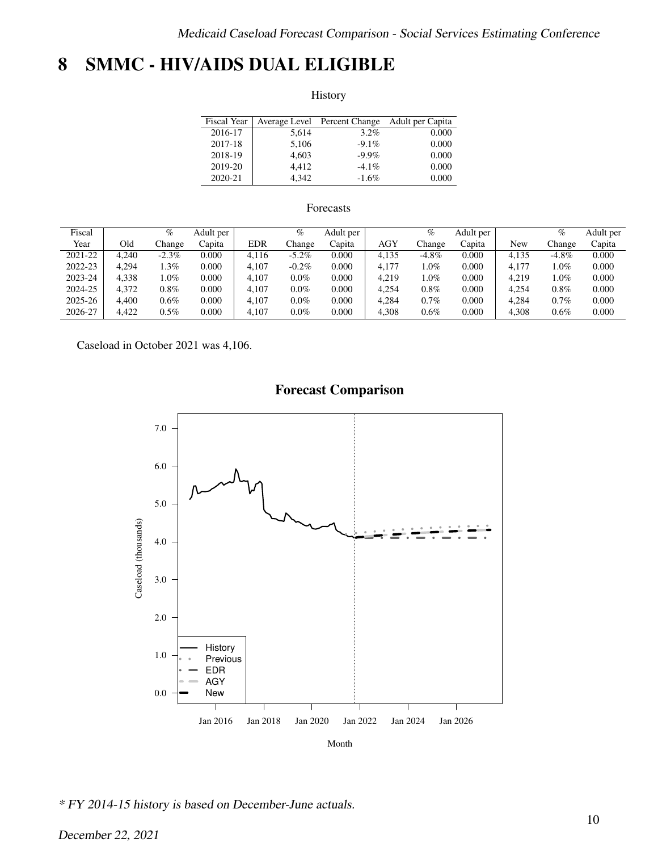# <span id="page-9-0"></span>8 SMMC - HIV/AIDS DUAL ELIGIBLE

History

| <b>Fiscal Year</b> |       | Average Level Percent Change | Adult per Capita |
|--------------------|-------|------------------------------|------------------|
| 2016-17            | 5.614 | $3.2\%$                      | 0.000            |
| 2017-18            | 5,106 | $-9.1\%$                     | 0.000            |
| 2018-19            | 4.603 | $-9.9\%$                     | 0.000            |
| 2019-20            | 4.412 | $-4.1\%$                     | 0.000            |
| 2020-21            | 4.342 | $-1.6\%$                     | 0.000            |

### Forecasts

| Fiscal  |       | $\%$    | Adult per |            | $\%$     | Adult per |            | %        | Adult per |       | $\%$     | Adult per |
|---------|-------|---------|-----------|------------|----------|-----------|------------|----------|-----------|-------|----------|-----------|
| Year    | Old   | Change  | Capita    | <b>EDR</b> | Change   | Capita    | <b>AGY</b> | Change   | Capita    | New   | Change   | Capita    |
| 2021-22 | 4.240 | $-2.3%$ | 0.000     | 4.116      | $-5.2\%$ | 0.000     | 4.135      | $-4.8\%$ | 0.000     | 4.135 | $-4.8\%$ | 0.000     |
| 2022-23 | 4.294 | $.3\%$  | 0.000     | 4.107      | $-0.2\%$ | 0.000     | 4.177      | $.0\%$   | 0.000     | 4.177 | $1.0\%$  | 0.000     |
| 2023-24 | 4.338 | $.0\%$  | 0.000     | 4.107      | $0.0\%$  | 0.000     | 4,219      | $.0\%$   | 0.000     | 4.219 | $1.0\%$  | 0.000     |
| 2024-25 | 4.372 | 0.8%    | 0.000     | 4.107      | $0.0\%$  | 0.000     | 4.254      | $0.8\%$  | 0.000     | 4.254 | 0.8%     | 0.000     |
| 2025-26 | 4.400 | 0.6%    | 0.000     | 4.107      | $0.0\%$  | 0.000     | 4.284      | $0.7\%$  | 0.000     | 4.284 | 0.7%     | 0.000     |
| 2026-27 | 4.422 | $0.5\%$ | 0.000     | 4.107      | $0.0\%$  | 0.000     | 4.308      | 0.6%     | 0.000     | 4.308 | 0.6%     | 0.000     |

Caseload in October 2021 was 4,106.



\* FY 2014-15 history is based on December-June actuals.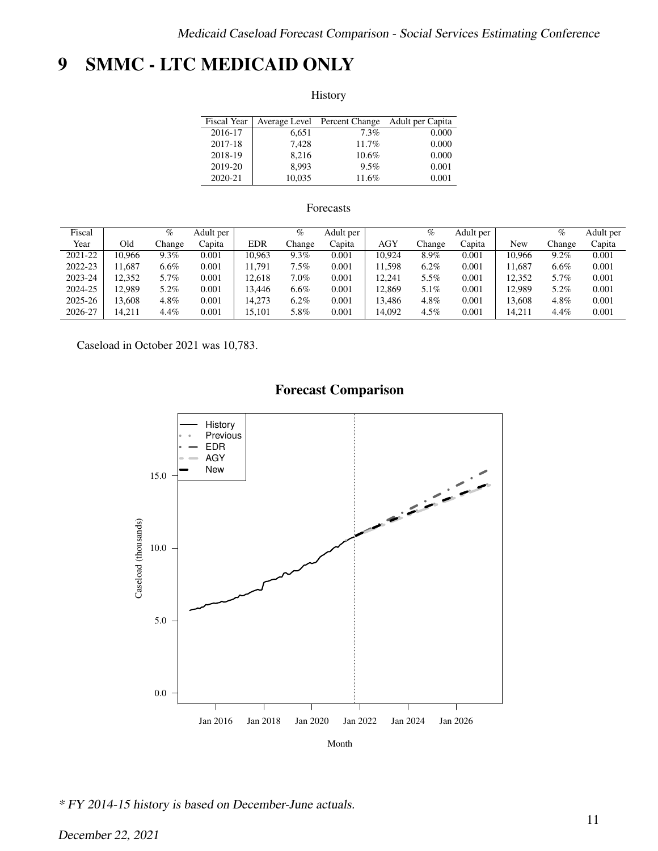# <span id="page-10-0"></span>9 SMMC - LTC MEDICAID ONLY

History

| Fiscal Year |        | Average Level Percent Change | Adult per Capita |
|-------------|--------|------------------------------|------------------|
| 2016-17     | 6.651  | 7.3%                         | 0.000            |
| 2017-18     | 7.428  | 11.7%                        | 0.000            |
| 2018-19     | 8.216  | $10.6\%$                     | 0.000            |
| 2019-20     | 8.993  | 9.5%                         | 0.001            |
| 2020-21     | 10,035 | 11.6%                        | 0.001            |

### Forecasts

| Fiscal  |        | $\%$    | Adult per |            | $\%$    | Adult per |            | %       | Adult per |        | $\%$    | Adult per |
|---------|--------|---------|-----------|------------|---------|-----------|------------|---------|-----------|--------|---------|-----------|
| Year    | Old    | Change  | Capita    | <b>EDR</b> | Change  | Capita    | <b>AGY</b> | Change  | Capita    | New    | Change  | Capita    |
| 2021-22 | 10.966 | $9.3\%$ | 0.001     | 10.963     | 9.3%    | 0.001     | 10.924     | 8.9%    | 0.001     | 10.966 | $9.2\%$ | 0.001     |
| 2022-23 | 1.687  | $6.6\%$ | 0.001     | 11.791     | $7.5\%$ | 0.001     | 11.598     | $6.2\%$ | 0.001     | 1.687  | $6.6\%$ | 0.001     |
| 2023-24 | 12.352 | 5.7%    | 0.001     | 12.618     | $7.0\%$ | 0.001     | 12.241     | 5.5%    | 0.001     | 12.352 | 5.7%    | 0.001     |
| 2024-25 | 2.989  | 5.2%    | 0.001     | 13.446     | $6.6\%$ | 0.001     | 12.869     | 5.1%    | 0.001     | 12.989 | 5.2%    | 0.001     |
| 2025-26 | 3.608  | 4.8%    | 0.001     | 14.273     | $6.2\%$ | 0.001     | 13.486     | 4.8%    | 0.001     | 13.608 | 4.8%    | 0.001     |
| 2026-27 | 14.211 | 4.4%    | 0.001     | 15.101     | 5.8%    | 0.001     | 14.092     | $4.5\%$ | 0.001     | 14.211 | 4.4%    | 0.001     |

Caseload in October 2021 was 10,783.



\* FY 2014-15 history is based on December-June actuals.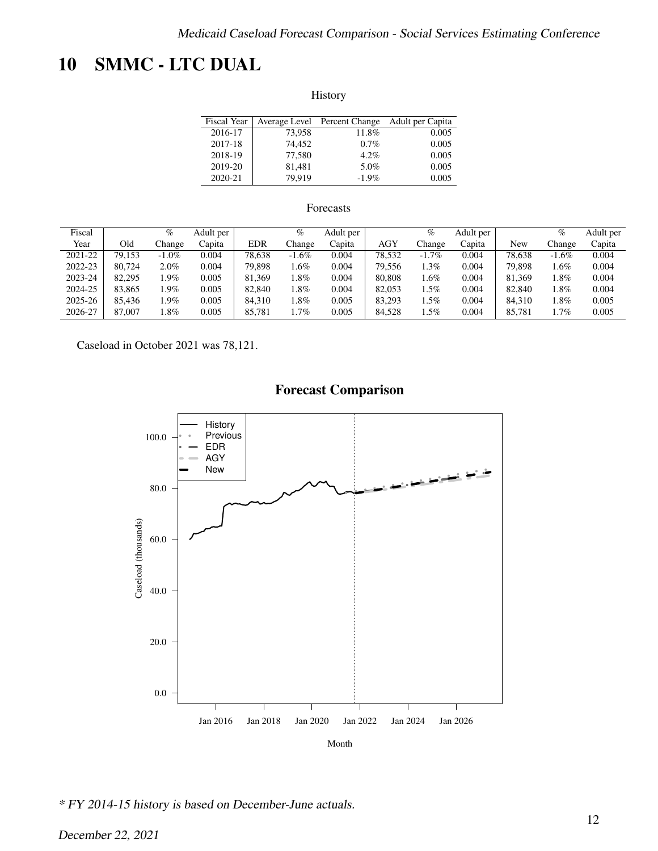# <span id="page-11-0"></span>10 SMMC - LTC DUAL

History

| Fiscal Year |        | Average Level Percent Change | Adult per Capita |
|-------------|--------|------------------------------|------------------|
| 2016-17     | 73,958 | 11.8%                        | 0.005            |
| 2017-18     | 74.452 | $0.7\%$                      | 0.005            |
| 2018-19     | 77,580 | $4.2\%$                      | 0.005            |
| 2019-20     | 81,481 | 5.0%                         | 0.005            |
| 2020-21     | 79.919 | $-1.9\%$                     | 0.005            |

### Forecasts

| Fiscal  |        | $\%$     | Adult per |            | $\%$     | Adult per |        | $\%$     | Adult per |        | $\%$     | Adult per |
|---------|--------|----------|-----------|------------|----------|-----------|--------|----------|-----------|--------|----------|-----------|
| Year    | Old    | Change   | Capita    | <b>EDR</b> | Change   | Capita    | AGY    | Change   | Capita    | New    | Change   | Capita    |
| 2021-22 | 79.153 | $-1.0\%$ | 0.004     | 78.638     | $-1.6\%$ | 0.004     | 78.532 | $-1.7\%$ | 0.004     | 78.638 | $-1.6\%$ | 0.004     |
| 2022-23 | 80.724 | 2.0%     | 0.004     | 79.898     | .6%      | 0.004     | 79.556 | $.3\%$   | 0.004     | 79.898 | l.6%     | 0.004     |
| 2023-24 | 82,295 | $.9\%$   | 0.005     | 81.369     | $.8\%$   | 0.004     | 80,808 | $.6\%$   | 0.004     | 81.369 | 1.8%     | 0.004     |
| 2024-25 | 83.865 | .9%      | 0.005     | 82,840     | $.8\%$   | 0.004     | 82,053 | $.5\%$   | 0.004     | 82,840 | l.8%     | 0.004     |
| 2025-26 | 85.436 | $.9\%$   | 0.005     | 84.310     | $.8\%$   | 0.005     | 83.293 | $.5\%$   | 0.004     | 84.310 | l.8%     | 0.005     |
| 2026-27 | 87,007 | $.8\%$   | 0.005     | 85.781     | .7%      | 0.005     | 84.528 | $.5\%$   | 0.004     | 85.781 | l.7%     | 0.005     |

Caseload in October 2021 was 78,121.



\* FY 2014-15 history is based on December-June actuals.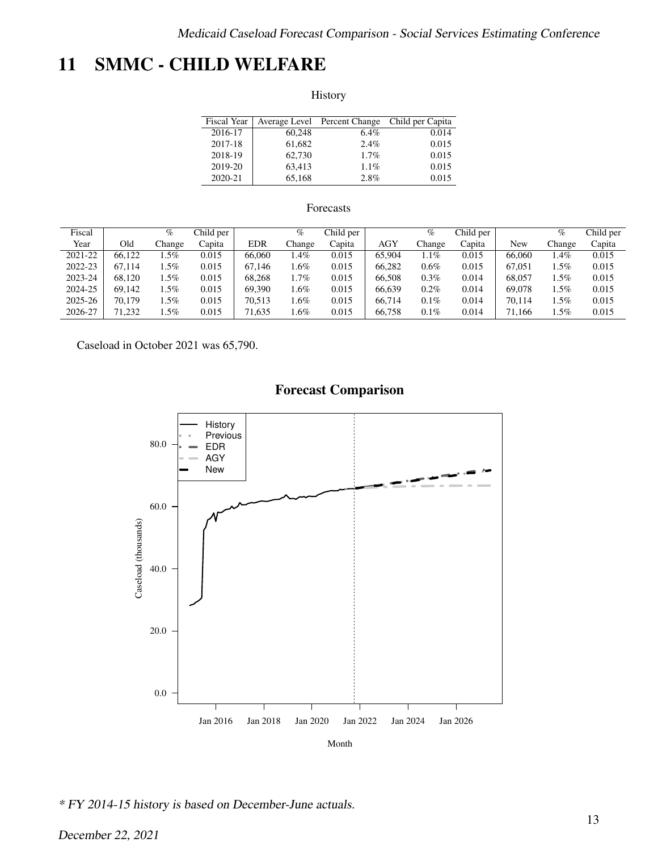# <span id="page-12-0"></span>11 SMMC - CHILD WELFARE

History

| <b>Fiscal Year</b> |        | Average Level Percent Change | Child per Capita |
|--------------------|--------|------------------------------|------------------|
| 2016-17            | 60.248 | $6.4\%$                      | 0.014            |
| 2017-18            | 61,682 | 2.4%                         | 0.015            |
| 2018-19            | 62,730 | 1.7%                         | 0.015            |
| 2019-20            | 63,413 | $1.1\%$                      | 0.015            |
| 2020-21            | 65,168 | 2.8%                         | 0.015            |

### Forecasts

| Fiscal  |        | %      | Child per |            | $\%$    | Child per |            | $\%$    | Child per |        | %      | Child per |
|---------|--------|--------|-----------|------------|---------|-----------|------------|---------|-----------|--------|--------|-----------|
| Year    | Old    | hange. | Capita    | <b>EDR</b> | Change  | Capita    | <b>AGY</b> | Change  | Capita    | New    | Change | Capita    |
| 2021-22 | 66.122 | .5%    | 0.015     | 66,060     | .4%     | 0.015     | 65,904     | $.1\%$  | 0.015     | 66,060 | 1.4%   | 0.015     |
| 2022-23 | 67.114 | $.5\%$ | 0.015     | 67.146     | .6%     | 0.015     | 66.282     | $0.6\%$ | 0.015     | 67,051 | . .5%  | 0.015     |
| 2023-24 | 68.120 | .5%    | 0.015     | 68.268     | $1.7\%$ | 0.015     | 66.508     | $0.3\%$ | 0.014     | 68,057 | 1.5%   | 0.015     |
| 2024-25 | 69.142 | .5%    | 0.015     | 69.390     | .6%     | 0.015     | 66.639     | $0.2\%$ | 0.014     | 69,078 | . .5%  | 0.015     |
| 2025-26 | 70,179 | .5%    | 0.015     | 70.513     | .6%     | 0.015     | 66.714     | $0.1\%$ | 0.014     | 70.114 | . .5%  | 0.015     |
| 2026-27 | 71.232 | $.5\%$ | 0.015     | 71,635     | .6%     | 0.015     | 66,758     | $0.1\%$ | 0.014     | 71.166 | . 5%   | 0.015     |

Caseload in October 2021 was 65,790.



\* FY 2014-15 history is based on December-June actuals.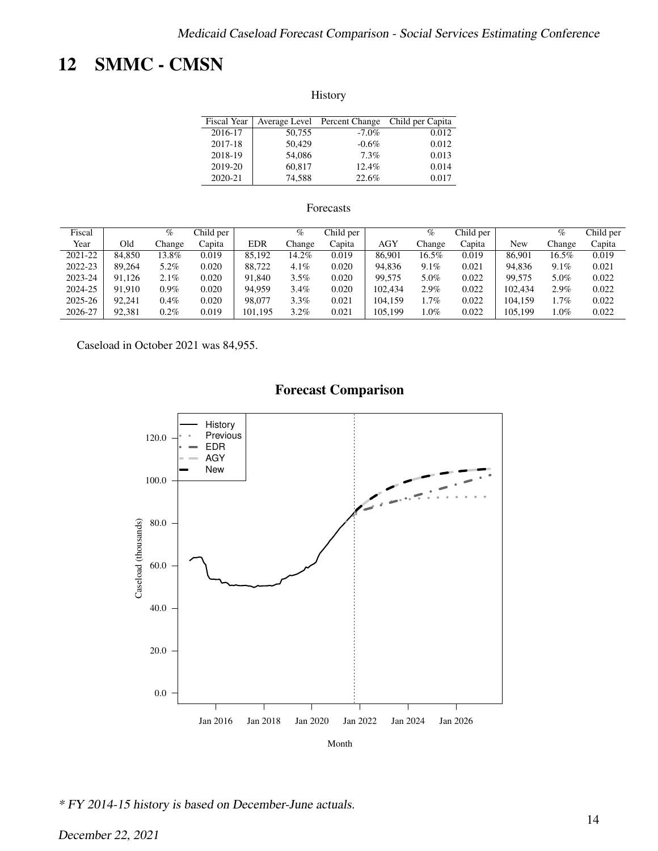# <span id="page-13-0"></span>12 SMMC - CMSN

History

| Fiscal Year |        | Average Level Percent Change | Child per Capita |
|-------------|--------|------------------------------|------------------|
| 2016-17     | 50,755 | $-7.0\%$                     | 0.012            |
| 2017-18     | 50.429 | $-0.6\%$                     | 0.012            |
| 2018-19     | 54,086 | 7.3%                         | 0.013            |
| 2019-20     | 60,817 | 12.4%                        | 0.014            |
| 2020-21     | 74.588 | 22.6%                        | 0.017            |

### Forecasts

| Fiscal  |        | $\%$    | Child per |            | %       | Child per |            | $\%$    | Child per |         | %       | Child per |
|---------|--------|---------|-----------|------------|---------|-----------|------------|---------|-----------|---------|---------|-----------|
| Year    | Old    | Change  | Capita    | <b>EDR</b> | Change  | Capita    | <b>AGY</b> | Change  | Capita    | New     | Change  | Capita    |
| 2021-22 | 84.850 | 13.8%   | 0.019     | 85.192     | 14.2%   | 0.019     | 86.901     | 16.5%   | 0.019     | 86.901  | 16.5%   | 0.019     |
| 2022-23 | 89.264 | 5.2%    | 0.020     | 88.722     | 4.1%    | 0.020     | 94.836     | $9.1\%$ | 0.021     | 94.836  | $9.1\%$ | 0.021     |
| 2023-24 | 91.126 | $2.1\%$ | 0.020     | 91.840     | 3.5%    | 0.020     | 99.575     | 5.0%    | 0.022     | 99.575  | 5.0%    | 0.022     |
| 2024-25 | 91.910 | $0.9\%$ | 0.020     | 94.959     | $3.4\%$ | 0.020     | 102.434    | 2.9%    | 0.022     | 102.434 | 2.9%    | 0.022     |
| 2025-26 | 92.241 | $0.4\%$ | 0.020     | 98.077     | 3.3%    | 0.021     | 104.159    | $.7\%$  | 0.022     | 104.159 | $1.7\%$ | 0.022     |
| 2026-27 | 92,381 | 0.2%    | 0.019     | 101.195    | $3.2\%$ | 0.021     | 105.199    | $.0\%$  | 0.022     | 105.199 | $1.0\%$ | 0.022     |

Caseload in October 2021 was 84,955.



\* FY 2014-15 history is based on December-June actuals.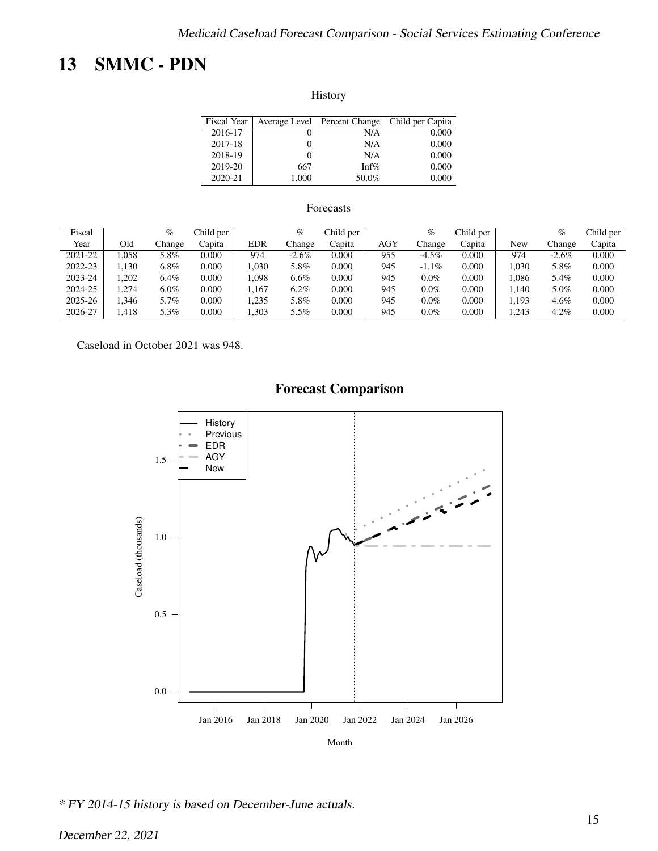# <span id="page-14-0"></span>13 SMMC - PDN

| Fiscal Year |       | Average Level Percent Change | Child per Capita |
|-------------|-------|------------------------------|------------------|
| 2016-17     |       | N/A                          | 0.000            |
| 2017-18     |       | N/A                          | 0.000            |
| 2018-19     |       | N/A                          | 0.000            |
| 2019-20     | 667   | Inf $%$                      | 0.000            |
| 2020-21     | 1.000 | 50.0%                        | 0.000            |

### Forecasts

| Fiscal  |       | $\%$    | Child per |            | %        | Child per |            | %        | Child per |       | %        | Child per |
|---------|-------|---------|-----------|------------|----------|-----------|------------|----------|-----------|-------|----------|-----------|
| Year    | Old   | Change  | Capita    | <b>EDR</b> | Change   | Capita    | <b>AGY</b> | Change   | Capita    | New   | Change   | Capita    |
| 2021-22 | .058  | 5.8%    | 0.000     | 974        | $-2.6\%$ | 0.000     | 955        | $-4.5\%$ | 0.000     | 974   | $-2.6\%$ | 0.000     |
| 2022-23 | 1.130 | 6.8%    | 0.000     | .030       | 5.8%     | 0.000     | 945        | $-1.1\%$ | 0.000     | .030  | 5.8%     | 0.000     |
| 2023-24 | .202  | $6.4\%$ | 0.000     | .098       | $6.6\%$  | 0.000     | 945        | $0.0\%$  | 0.000     | .086  | 5.4%     | 0.000     |
| 2024-25 | ,274  | $6.0\%$ | 0.000     | .167       | $6.2\%$  | 0.000     | 945        | $0.0\%$  | 0.000     | 1.140 | 5.0%     | 0.000     |
| 2025-26 | .346  | 5.7%    | 0.000     | .235       | 5.8%     | 0.000     | 945        | $0.0\%$  | 0.000     | 1.193 | $4.6\%$  | 0.000     |
| 2026-27 | .418  | 5.3%    | 0.000     | .303       | 5.5%     | 0.000     | 945        | $0.0\%$  | 0.000     | .243  | 4.2%     | 0.000     |

Caseload in October 2021 was 948.



\* FY 2014-15 history is based on December-June actuals.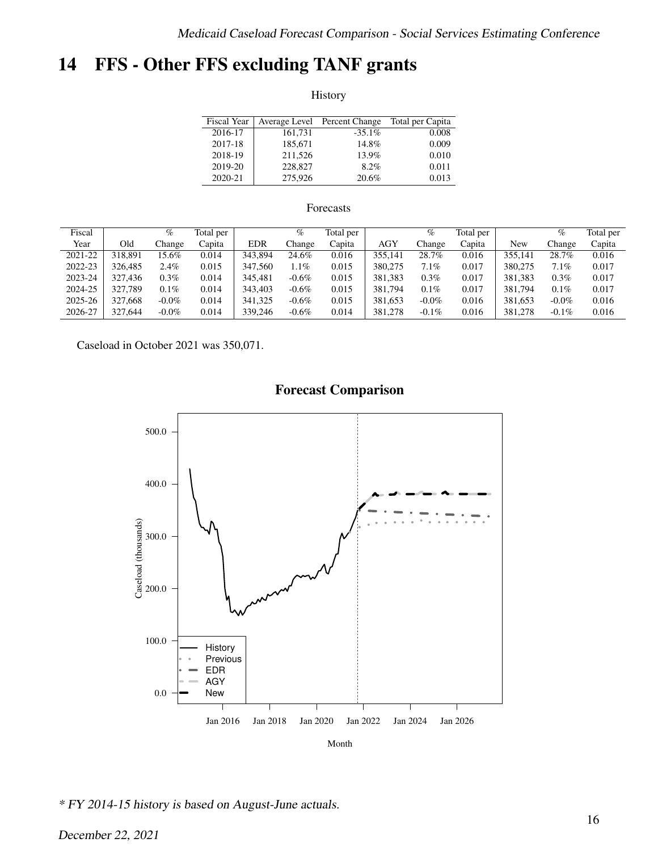# <span id="page-15-0"></span>14 FFS - Other FFS excluding TANF grants

History

| <b>Fiscal Year</b> | Average Level | Percent Change | Total per Capita |
|--------------------|---------------|----------------|------------------|
| 2016-17            | 161,731       | $-35.1\%$      | 0.008            |
| 2017-18            | 185,671       | 14.8%          | 0.009            |
| 2018-19            | 211,526       | 13.9%          | 0.010            |
| 2019-20            | 228,827       | $8.2\%$        | 0.011            |
| 2020-21            | 275,926       | 20.6%          | 0.013            |

### Forecasts

| Fiscal  |         | $\%$     | Total per |            | %        | Total per |            | $\%$     | Total per |         | $\%$     | Total per |
|---------|---------|----------|-----------|------------|----------|-----------|------------|----------|-----------|---------|----------|-----------|
| Year    | Old     | Change   | Capita    | <b>EDR</b> | Change   | Capita    | <b>AGY</b> | Change   | Capita    | New     | Change   | Capita    |
| 2021-22 | 318,891 | 15.6%    | 0.014     | 343.894    | 24.6%    | 0.016     | 355.141    | 28.7%    | 0.016     | 355.141 | 28.7%    | 0.016     |
| 2022-23 | 326,485 | 2.4%     | 0.015     | 347,560    | 1.1%     | 0.015     | 380,275    | 7.1%     | 0.017     | 380,275 | 7.1%     | 0.017     |
| 2023-24 | 327.436 | $0.3\%$  | 0.014     | 345.481    | $-0.6\%$ | 0.015     | 381.383    | 0.3%     | 0.017     | 381.383 | 0.3%     | 0.017     |
| 2024-25 | 327.789 | $0.1\%$  | 0.014     | 343,403    | $-0.6\%$ | 0.015     | 381.794    | $0.1\%$  | 0.017     | 381,794 | 0.1%     | 0.017     |
| 2025-26 | 327.668 | $-0.0\%$ | 0.014     | 341.325    | $-0.6\%$ | 0.015     | 381.653    | $-0.0\%$ | 0.016     | 381.653 | $-0.0\%$ | 0.016     |
| 2026-27 | 327,644 | $-0.0\%$ | 0.014     | 339,246    | $-0.6\%$ | 0.014     | 381.278    | $-0.1\%$ | 0.016     | 381,278 | $-0.1\%$ | 0.016     |

Caseload in October 2021 was 350,071.



### **Forecast Comparison**

Month

\* FY 2014-15 history is based on August-June actuals.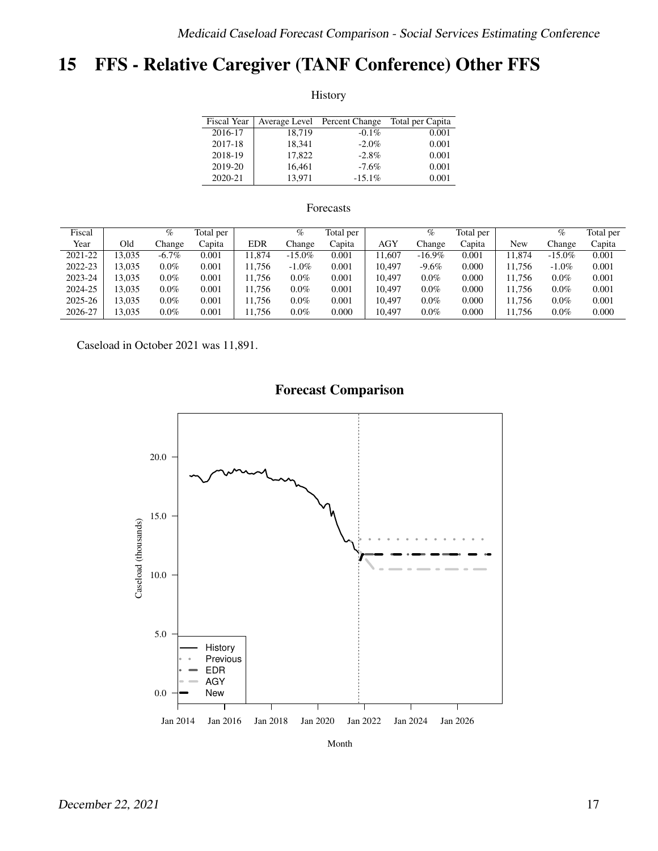# <span id="page-16-0"></span>15 FFS - Relative Caregiver (TANF Conference) Other FFS

History

| Fiscal Year |        | Average Level Percent Change | Total per Capita |
|-------------|--------|------------------------------|------------------|
| 2016-17     | 18.719 | $-0.1\%$                     | 0.001            |
| 2017-18     | 18.341 | $-2.0\%$                     | 0.001            |
| 2018-19     | 17.822 | $-2.8\%$                     | 0.001            |
| 2019-20     | 16,461 | $-7.6\%$                     | 0.001            |
| 2020-21     | 13.971 | $-15.1\%$                    | 0.001            |

#### Forecasts

| Fiscal  |       | %        | Total per |            | %         | Total per |            | $\%$      | Total per |        | $\%$      | Total per |
|---------|-------|----------|-----------|------------|-----------|-----------|------------|-----------|-----------|--------|-----------|-----------|
| Year    | Old   | hange.   | Capita    | <b>EDR</b> | Change    | Capita    | <b>AGY</b> | Change    | Capita    | New    | Change    | Capita    |
| 2021-22 | 3.035 | $-6.7\%$ | 0.001     | 1.874      | $-15.0\%$ | 0.001     | 1.607      | $-16.9\%$ | 0.001     | .874   | $-15.0\%$ | 0.001     |
| 2022-23 | 3.035 | $0.0\%$  | 0.001     | 1.756      | $-1.0\%$  | 0.001     | 10.497     | $-9.6\%$  | 0.000     | 1.756  | $-1.0\%$  | 0.001     |
| 2023-24 | 3.035 | $0.0\%$  | 0.001     | 11.756     | $0.0\%$   | 0.001     | 10.497     | $0.0\%$   | 0.000     | 11.756 | $0.0\%$   | 0.001     |
| 2024-25 | 3.035 | $0.0\%$  | 0.001     | 1.756      | $0.0\%$   | 0.001     | 10.497     | $0.0\%$   | 0.000     | 11.756 | $0.0\%$   | 0.001     |
| 2025-26 | 3.035 | $0.0\%$  | 0.001     | 1.756      | $0.0\%$   | 0.001     | 10.497     | $0.0\%$   | 0.000     | 11.756 | $0.0\%$   | 0.001     |
| 2026-27 | 3.035 | $0.0\%$  | 0.001     | 1.756      | $0.0\%$   | 0.000     | 10,497     | $0.0\%$   | 0.000     | 11.756 | $0.0\%$   | 0.000     |

Caseload in October 2021 was 11,891.



Month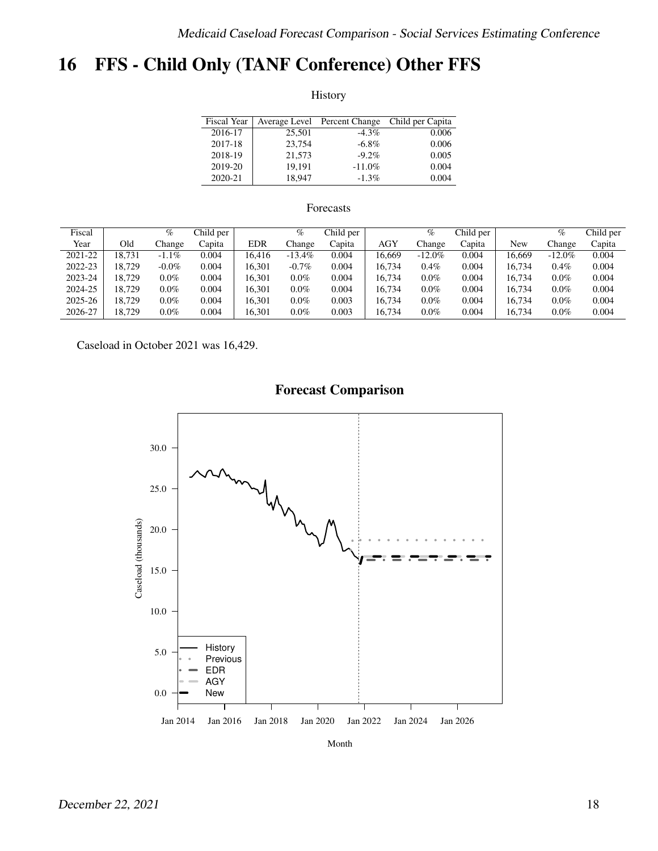# <span id="page-17-0"></span>16 FFS - Child Only (TANF Conference) Other FFS

History

| <b>Fiscal Year</b> |        | Average Level Percent Change | Child per Capita |
|--------------------|--------|------------------------------|------------------|
| 2016-17            | 25,501 | $-4.3\%$                     | 0.006            |
| 2017-18            | 23,754 | $-6.8\%$                     | 0.006            |
| 2018-19            | 21.573 | $-9.2\%$                     | 0.005            |
| 2019-20            | 19.191 | $-11.0\%$                    | 0.004            |
| 2020-21            | 18.947 | $-1.3\%$                     | 0.004            |

### Forecasts

| Fiscal  |        | %        | Child per |            | $\%$      | Child per |            | $\%$      | Child per |        | $\%$      | Child per |
|---------|--------|----------|-----------|------------|-----------|-----------|------------|-----------|-----------|--------|-----------|-----------|
| Year    | Old    | hange.   | Capita    | <b>EDR</b> | Change    | Capita    | <b>AGY</b> | Change    | Capita    | New    | Change    | Capita    |
| 2021-22 | 18.731 | $-1.1\%$ | 0.004     | 16.416     | $-13.4\%$ | 0.004     | 16.669     | $-12.0\%$ | 0.004     | 16.669 | $-12.0\%$ | 0.004     |
| 2022-23 | 18.729 | $-0.0\%$ | 0.004     | 16.301     | $-0.7\%$  | 0.004     | 16.734     | $0.4\%$   | 0.004     | 16.734 | 0.4%      | 0.004     |
| 2023-24 | 18.729 | $0.0\%$  | 0.004     | 16.301     | $0.0\%$   | 0.004     | 16.734     | $0.0\%$   | 0.004     | 16.734 | $0.0\%$   | 0.004     |
| 2024-25 | 18.729 | $0.0\%$  | 0.004     | 16.301     | $0.0\%$   | 0.004     | 16,734     | $0.0\%$   | 0.004     | 16.734 | $0.0\%$   | 0.004     |
| 2025-26 | 18.729 | $0.0\%$  | 0.004     | 16.301     | $0.0\%$   | 0.003     | 16.734     | $0.0\%$   | 0.004     | 16.734 | $0.0\%$   | 0.004     |
| 2026-27 | 18.729 | $0.0\%$  | 0.004     | 16.301     | $0.0\%$   | 0.003     | 16,734     | $0.0\%$   | 0.004     | 16.734 | $0.0\%$   | 0.004     |

Caseload in October 2021 was 16,429.



Month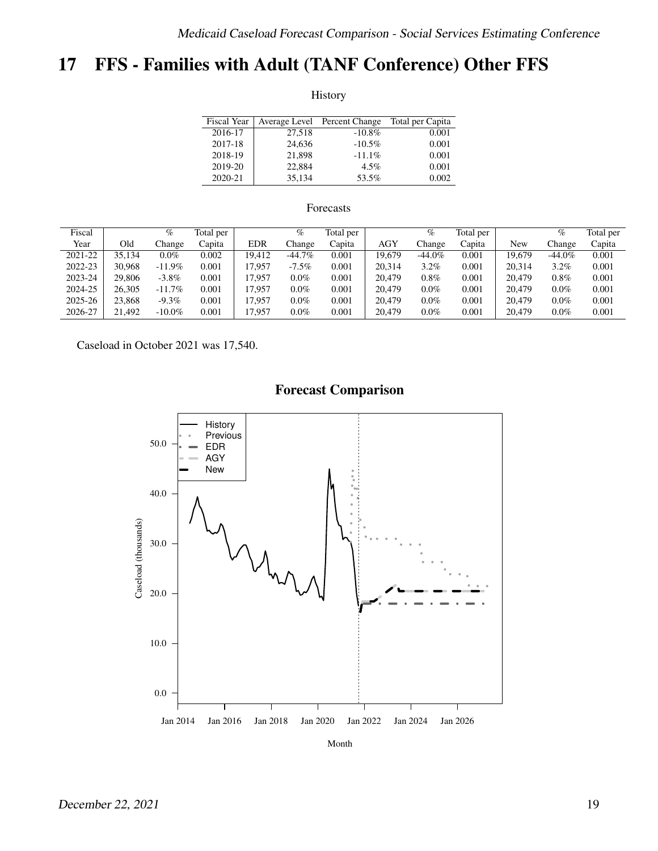# <span id="page-18-0"></span>17 FFS - Families with Adult (TANF Conference) Other FFS

History

| <b>Fiscal Year</b> |        | Average Level Percent Change | Total per Capita |
|--------------------|--------|------------------------------|------------------|
| 2016-17            | 27,518 | $-10.8\%$                    | 0.001            |
| 2017-18            | 24,636 | $-10.5%$                     | 0.001            |
| 2018-19            | 21,898 | $-11.1\%$                    | 0.001            |
| 2019-20            | 22,884 | $4.5\%$                      | 0.001            |
| 2020-21            | 35,134 | 53.5%                        | 0.002            |

### Forecasts

| Fiscal  |        | %         | Total per |            | $\%$      | Total per |            | %         | Total per |        | $\%$      | Total per |
|---------|--------|-----------|-----------|------------|-----------|-----------|------------|-----------|-----------|--------|-----------|-----------|
| Year    | Old    | hange.    | Capita    | <b>EDR</b> | Change    | Capita    | <b>AGY</b> | Change    | Capita    | New    | Change    | Capita    |
| 2021-22 | 35.134 | $0.0\%$   | 0.002     | 19.412     | $-44.7\%$ | 0.001     | 19,679     | $-44.0\%$ | 0.001     | 19.679 | $-44.0\%$ | 0.001     |
| 2022-23 | 30.968 | $-11.9\%$ | 0.001     | 17.957     | $-7.5\%$  | 0.001     | 20.314     | $3.2\%$   | 0.001     | 20.314 | 3.2%      | 0.001     |
| 2023-24 | 29,806 | $-3.8\%$  | 0.001     | 17.957     | $0.0\%$   | 0.001     | 20.479     | $0.8\%$   | 0.001     | 20.479 | 0.8%      | 0.001     |
| 2024-25 | 26.305 | $-11.7%$  | 0.001     | 17.957     | $0.0\%$   | 0.001     | 20.479     | $0.0\%$   | 0.001     | 20,479 | $0.0\%$   | 0.001     |
| 2025-26 | 23,868 | $-9.3%$   | 0.001     | 17.957     | $0.0\%$   | 0.001     | 20.479     | $0.0\%$   | 0.001     | 20.479 | $0.0\%$   | 0.001     |
| 2026-27 | 21,492 | $-10.0\%$ | 0.001     | 17.957     | $0.0\%$   | 0.001     | 20.479     | $0.0\%$   | 0.001     | 20,479 | $0.0\%$   | 0.001     |

Caseload in October 2021 was 17,540.



Month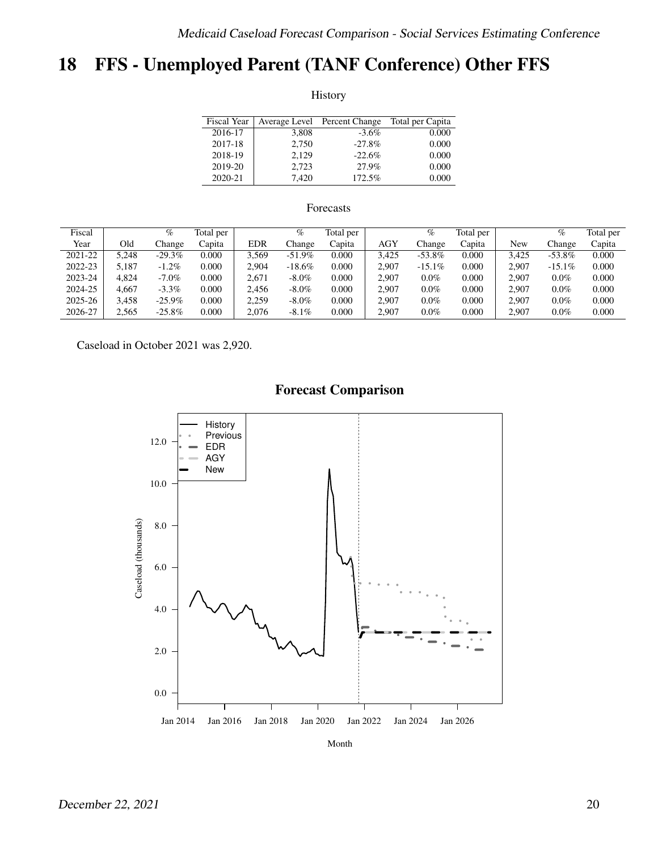# <span id="page-19-0"></span>18 FFS - Unemployed Parent (TANF Conference) Other FFS

History

| <b>Fiscal Year</b> |       | Average Level Percent Change | Total per Capita |
|--------------------|-------|------------------------------|------------------|
| 2016-17            | 3,808 | $-3.6\%$                     | 0.000            |
| 2017-18            | 2,750 | $-27.8%$                     | 0.000            |
| 2018-19            | 2.129 | $-22.6%$                     | 0.000            |
| 2019-20            | 2.723 | 27.9%                        | 0.000            |
| 2020-21            | 7.420 | 172.5%                       | 0.000            |

### Forecasts

| Fiscal  |       | $\%$      | Total per |            | %         | Total per |            | %         | Total per |       | %         | Total per |
|---------|-------|-----------|-----------|------------|-----------|-----------|------------|-----------|-----------|-------|-----------|-----------|
| Year    | Old   | hange.    | Capita    | <b>EDR</b> | Change    | Capita    | <b>AGY</b> | Change    | Capita    | New   | Change    | Capita    |
| 2021-22 | 5.248 | $-29.3\%$ | 0.000     | 3.569      | $-51.9%$  | 0.000     | 3.425      | $-53.8\%$ | 0.000     | 3.425 | $-53.8\%$ | 0.000     |
| 2022-23 | 5.187 | $-1.2\%$  | 0.000     | 2.904      | $-18.6\%$ | 0.000     | 2.907      | $-15.1\%$ | 0.000     | 2.907 | $-15.1\%$ | 0.000     |
| 2023-24 | 4.824 | $-7.0\%$  | 0.000     | 2.671      | $-8.0\%$  | 0.000     | 2.907      | $0.0\%$   | 0.000     | 2.907 | $0.0\%$   | 0.000     |
| 2024-25 | 4.667 | $-3.3\%$  | 0.000     | 2.456      | $-8.0\%$  | 0.000     | 2.907      | $0.0\%$   | 0.000     | 2.907 | $0.0\%$   | 0.000     |
| 2025-26 | 3.458 | $-25.9\%$ | 0.000     | 2.259      | $-8.0\%$  | 0.000     | 2.907      | $0.0\%$   | 0.000     | 2.907 | $0.0\%$   | 0.000     |
| 2026-27 | 2.565 | $-25.8\%$ | 0.000     | 2,076      | $-8.1\%$  | 0.000     | 2.907      | $0.0\%$   | 0.000     | 2.907 | $0.0\%$   | 0.000     |

Caseload in October 2021 was 2,920.



Month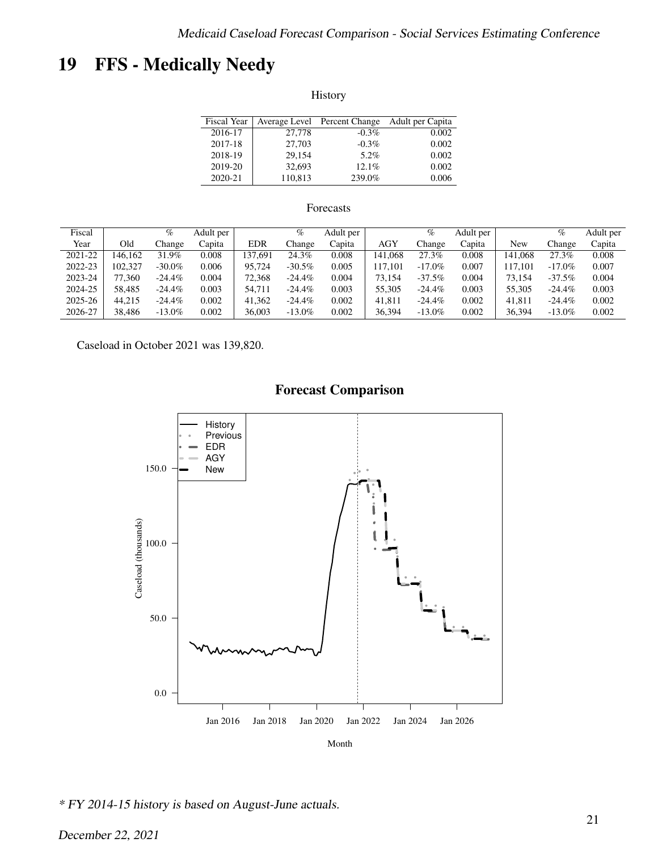# <span id="page-20-0"></span>19 FFS - Medically Needy

History

| <b>Fiscal Year</b> |         | Average Level Percent Change | Adult per Capita |
|--------------------|---------|------------------------------|------------------|
| 2016-17            | 27,778  | $-0.3\%$                     | 0.002            |
| 2017-18            | 27,703  | $-0.3\%$                     | 0.002            |
| 2018-19            | 29.154  | 5.2%                         | 0.002            |
| 2019-20            | 32.693  | 12.1%                        | 0.002            |
| 2020-21            | 110,813 | 239.0%                       | 0.006            |

### Forecasts

| Fiscal  |         | %         | Adult per |            | %         | Adult per |            | $\%$      | Adult per |         | %         | Adult per |
|---------|---------|-----------|-----------|------------|-----------|-----------|------------|-----------|-----------|---------|-----------|-----------|
| Year    | Old     | . hange   | Capita    | <b>EDR</b> | Change    | Capita    | <b>AGY</b> | Change    | Capita    | New     | Change    | Capita    |
| 2021-22 | 146.162 | 31.9%     | 0.008     | 37.691     | 24.3%     | 0.008     | 141.068    | 27.3%     | 0.008     | 141.068 | 27.3%     | 0.008     |
| 2022-23 | 102.327 | $-30.0\%$ | 0.006     | 95.724     | $-30.5\%$ | 0.005     | 117.101    | $-17.0\%$ | 0.007     | 117.101 | $-17.0\%$ | 0.007     |
| 2023-24 | 77.360  | $-24.4\%$ | 0.004     | 72.368     | $-24.4\%$ | 0.004     | 73.154     | $-37.5%$  | 0.004     | 73.154  | $-37.5%$  | 0.004     |
| 2024-25 | 58.485  | $-24.4\%$ | 0.003     | 54.711     | $-24.4\%$ | 0.003     | 55,305     | $-24.4\%$ | 0.003     | 55,305  | $-24.4\%$ | 0.003     |
| 2025-26 | 44.215  | $-24.4\%$ | 0.002     | 41.362     | $-24.4\%$ | 0.002     | 41.811     | $-24.4\%$ | 0.002     | 41.811  | $-24.4\%$ | 0.002     |
| 2026-27 | 38.486  | $-13.0\%$ | 0.002     | 36,003     | $-13.0\%$ | 0.002     | 36,394     | $-13.0\%$ | 0.002     | 36.394  | $-13.0\%$ | 0.002     |

Caseload in October 2021 was 139,820.



\* FY 2014-15 history is based on August-June actuals.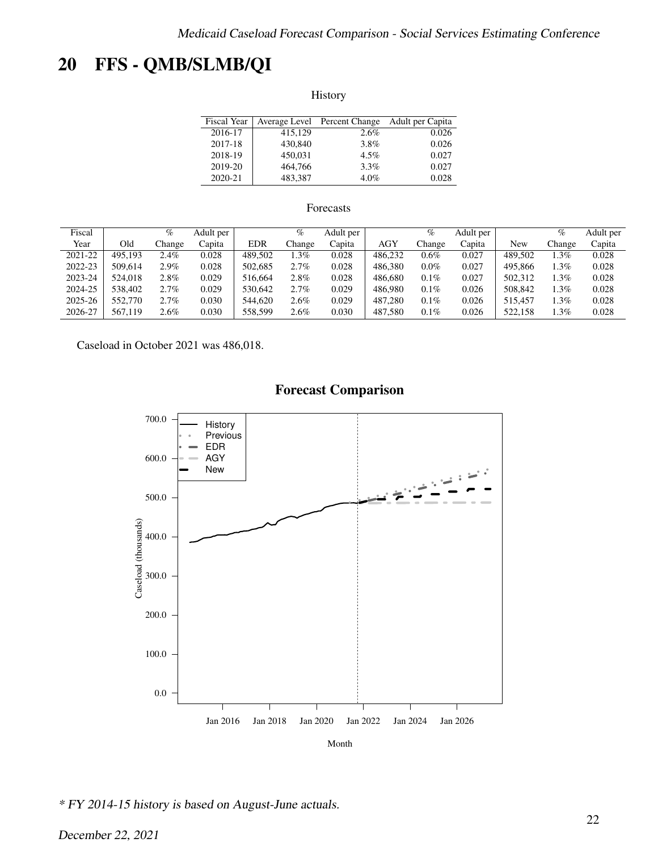# <span id="page-21-0"></span>20 FFS - QMB/SLMB/QI

History

| <b>Fiscal Year</b> |         | Average Level Percent Change | Adult per Capita |
|--------------------|---------|------------------------------|------------------|
| 2016-17            | 415.129 | 2.6%                         | 0.026            |
| 2017-18            | 430,840 | 3.8%                         | 0.026            |
| 2018-19            | 450.031 | $4.5\%$                      | 0.027            |
| 2019-20            | 464,766 | $3.3\%$                      | 0.027            |
| 2020-21            | 483.387 | 4.0%                         | 0.028            |

### Forecasts

| Fiscal  |         | %       | Adult per |            | $\%$    | Adult per |            | %       | Adult per |         | $\%$   | Adult per |
|---------|---------|---------|-----------|------------|---------|-----------|------------|---------|-----------|---------|--------|-----------|
| Year    | Old     | . hange | Capita    | <b>EDR</b> | Change  | Capita    | <b>AGY</b> | Change  | Capita    | New     | Change | Capita    |
| 2021-22 | 495.193 | 2.4%    | 0.028     | 489.502    | $.3\%$  | 0.028     | 486.232    | $0.6\%$ | 0.027     | 489.502 | $.3\%$ | 0.028     |
| 2022-23 | 509.614 | 2.9%    | 0.028     | 502.685    | 2.7%    | 0.028     | 486.380    | $0.0\%$ | 0.027     | 495.866 | $.3\%$ | 0.028     |
| 2023-24 | 524,018 | 2.8%    | 0.029     | 516,664    | 2.8%    | 0.028     | 486,680    | $0.1\%$ | 0.027     | 502.312 | .3%    | 0.028     |
| 2024-25 | 538,402 | 2.7%    | 0.029     | 530.642    | 2.7%    | 0.029     | 486,980    | $0.1\%$ | 0.026     | 508,842 | . 3%   | 0.028     |
| 2025-26 | 552,770 | 2.7%    | 0.030     | 544,620    | 2.6%    | 0.029     | 487.280    | $0.1\%$ | 0.026     | 515.457 | . 3%   | 0.028     |
| 2026-27 | 567,119 | $2.6\%$ | 0.030     | 558.599    | $2.6\%$ | 0.030     | 487.580    | $0.1\%$ | 0.026     | 522.158 | .3%    | 0.028     |

Caseload in October 2021 was 486,018.



\* FY 2014-15 history is based on August-June actuals.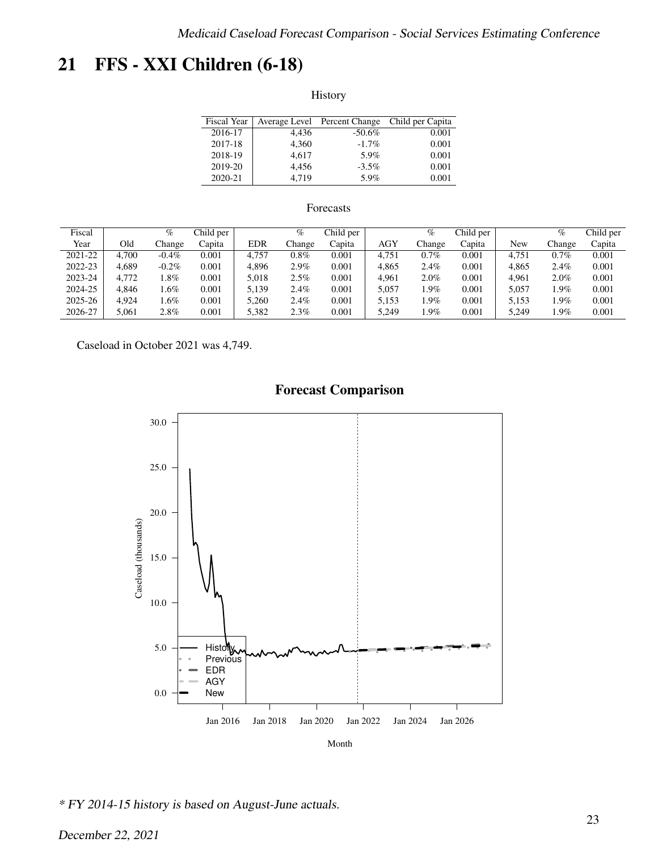# <span id="page-22-0"></span>21 FFS - XXI Children (6-18)

History

| Fiscal Year |       | Average Level Percent Change | Child per Capita |
|-------------|-------|------------------------------|------------------|
| 2016-17     | 4.436 | $-50.6\%$                    | 0.001            |
| 2017-18     | 4.360 | $-1.7\%$                     | 0.001            |
| 2018-19     | 4.617 | 5.9%                         | 0.001            |
| 2019-20     | 4.456 | $-3.5\%$                     | 0.001            |
| 2020-21     | 4.719 | 5.9%                         | 0.001            |

### Forecasts

| Fiscal  |       | %        | Child per |            | $\%$    | Child per |            | $\%$    | Child per |       | %      | Child per |
|---------|-------|----------|-----------|------------|---------|-----------|------------|---------|-----------|-------|--------|-----------|
| Year    | Old   | hange.   | Capita    | <b>EDR</b> | Change  | Capita    | <b>AGY</b> | Change  | Capita    | New   | Change | Capita    |
| 2021-22 | 4.700 | $-0.4\%$ | 0.001     | 4.757      | $0.8\%$ | 0.001     | 4.751      | $0.7\%$ | 0.001     | 4.751 | 0.7%   | 0.001     |
| 2022-23 | 4.689 | $-0.2%$  | 0.001     | 4.896      | 2.9%    | 0.001     | 4.865      | 2.4%    | 0.001     | 4.865 | 2.4%   | 0.001     |
| 2023-24 | 4.772 | $.8\%$   | 0.001     | 5.018      | 2.5%    | 0.001     | 4.961      | $2.0\%$ | 0.001     | 4.961 | 2.0%   | 0.001     |
| 2024-25 | 4.846 | $.6\%$   | 0.001     | 5.139      | 2.4%    | 0.001     | 5.057      | .9%     | 0.001     | 5.057 | 1.9%   | 0.001     |
| 2025-26 | 4.924 | .6%      | 0.001     | 5.260      | 2.4%    | 0.001     | 5.153      | .9%     | 0.001     | 5.153 | 1.9%   | 0.001     |
| 2026-27 | 5.061 | 2.8%     | 0.001     | 5.382      | 2.3%    | 0.001     | 5.249      | .9%     | 0.001     | 5.249 | .9%    | 0.001     |

Caseload in October 2021 was 4,749.



Month

\* FY 2014-15 history is based on August-June actuals.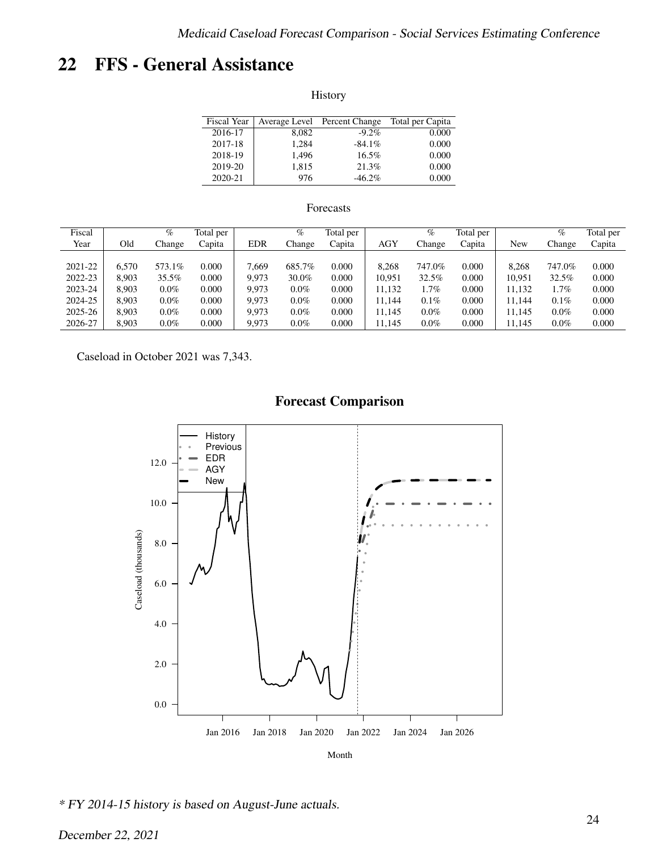## <span id="page-23-0"></span>22 FFS - General Assistance

History

| Fiscal Year |       | Average Level Percent Change | Total per Capita |
|-------------|-------|------------------------------|------------------|
| 2016-17     | 8.082 | $-9.2\%$                     | 0.000            |
| 2017-18     | 1.284 | $-84.1\%$                    | 0.000            |
| 2018-19     | 1.496 | $16.5\%$                     | 0.000            |
| 2019-20     | 1,815 | 21.3%                        | 0.000            |
| 2020-21     | 976   | $-46.2\%$                    | 0.000            |

### Forecasts

| Fiscal  |       | $\%$    | Total per |            | $\%$    | Total per |            | $\%$    | Total per |        | $\%$    | Total per |
|---------|-------|---------|-----------|------------|---------|-----------|------------|---------|-----------|--------|---------|-----------|
| Year    | Old   | Change  | Capita    | <b>EDR</b> | Change  | Capita    | <b>AGY</b> | Change  | Capita    | New    | Change  | Capita    |
|         |       |         |           |            |         |           |            |         |           |        |         |           |
| 2021-22 | 6.570 | 573.1%  | 0.000     | 7.669      | 685.7%  | 0.000     | 8.268      | 747.0%  | 0.000     | 8.268  | 747.0%  | 0.000     |
| 2022-23 | 8.903 | 35.5%   | 0.000     | 9.973      | 30.0%   | 0.000     | 10.951     | 32.5%   | 0.000     | 10.951 | 32.5%   | 0.000     |
| 2023-24 | 8.903 | $0.0\%$ | 0.000     | 9.973      | $0.0\%$ | 0.000     | 11.132     | 1.7%    | 0.000     | 11.132 | 1.7%    | 0.000     |
| 2024-25 | 8.903 | $0.0\%$ | 0.000     | 9.973      | $0.0\%$ | 0.000     | 11.144     | $0.1\%$ | 0.000     | 11.144 | $0.1\%$ | 0.000     |
| 2025-26 | 8.903 | $0.0\%$ | 0.000     | 9.973      | $0.0\%$ | 0.000     | 11.145     | $0.0\%$ | 0.000     | 11.145 | $0.0\%$ | 0.000     |
| 2026-27 | 8.903 | $0.0\%$ | 0.000     | 9.973      | $0.0\%$ | 0.000     | 11,145     | $0.0\%$ | 0.000     | 11.145 | $0.0\%$ | 0.000     |

Caseload in October 2021 was 7,343.



\* FY 2014-15 history is based on August-June actuals.